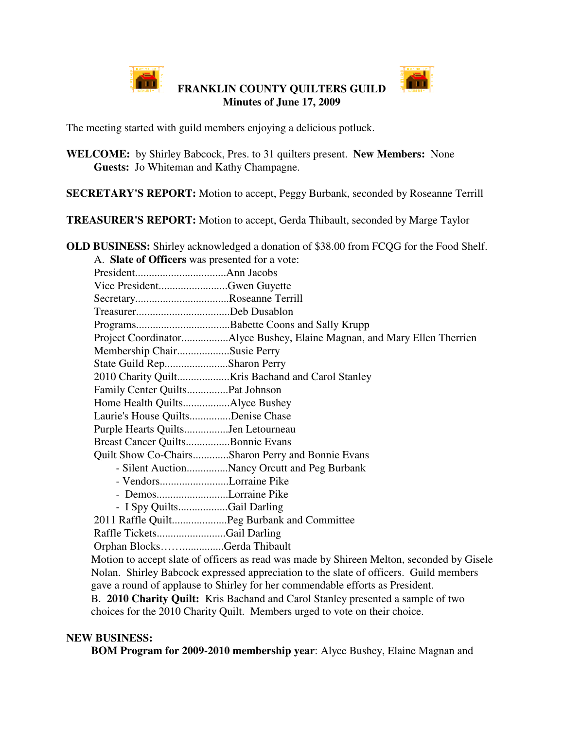

**FRANKLIN COUNTY QUILTERS GUILD Minutes of June 17, 2009**



The meeting started with guild members enjoying a delicious potluck.

**WELCOME:** by Shirley Babcock, Pres. to 31 quilters present. **New Members:** None **Guests:** Jo Whiteman and Kathy Champagne.

**SECRETARY'S REPORT:** Motion to accept, Peggy Burbank, seconded by Roseanne Terrill

**TREASURER'S REPORT:** Motion to accept, Gerda Thibault, seconded by Marge Taylor

**OLD BUSINESS:** Shirley acknowledged a donation of \$38.00 from FCQG for the Food Shelf. A. **Slate of Officers** was presented for a vote: President.................................Ann Jacobs Vice President.........................Gwen Guyette

| $\frac{1}{1}$                     |                                                                                                                                                                                                                                                                                                             |
|-----------------------------------|-------------------------------------------------------------------------------------------------------------------------------------------------------------------------------------------------------------------------------------------------------------------------------------------------------------|
| SecretaryRoseanne Terrill         |                                                                                                                                                                                                                                                                                                             |
| TreasurerDeb Dusablon             |                                                                                                                                                                                                                                                                                                             |
|                                   |                                                                                                                                                                                                                                                                                                             |
|                                   | Project CoordinatorAlyce Bushey, Elaine Magnan, and Mary Ellen Therrien                                                                                                                                                                                                                                     |
| Membership ChairSusie Perry       |                                                                                                                                                                                                                                                                                                             |
| State Guild RepSharon Perry       |                                                                                                                                                                                                                                                                                                             |
|                                   |                                                                                                                                                                                                                                                                                                             |
|                                   |                                                                                                                                                                                                                                                                                                             |
|                                   |                                                                                                                                                                                                                                                                                                             |
| Laurie's House QuiltsDenise Chase |                                                                                                                                                                                                                                                                                                             |
|                                   |                                                                                                                                                                                                                                                                                                             |
| Breast Cancer QuiltsBonnie Evans  |                                                                                                                                                                                                                                                                                                             |
|                                   | Quilt Show Co-ChairsSharon Perry and Bonnie Evans                                                                                                                                                                                                                                                           |
|                                   | - Silent AuctionNancy Orcutt and Peg Burbank                                                                                                                                                                                                                                                                |
| - VendorsLorraine Pike            |                                                                                                                                                                                                                                                                                                             |
| - DemosLorraine Pike              |                                                                                                                                                                                                                                                                                                             |
| - I Spy QuiltsGail Darling        |                                                                                                                                                                                                                                                                                                             |
|                                   | 2011 Raffle QuiltPeg Burbank and Committee                                                                                                                                                                                                                                                                  |
| Raffle TicketsGail Darling        |                                                                                                                                                                                                                                                                                                             |
| Orphan BlocksGerda Thibault       |                                                                                                                                                                                                                                                                                                             |
|                                   | Motion to accept slate of officers as read was made by Shireen Melton, seconded by Gisele                                                                                                                                                                                                                   |
|                                   | $\mathbf{M}$ 1 $\mathbf{M}$ 1 $\mathbf{M}$ 1 $\mathbf{M}$ 1 $\mathbf{M}$ 1 $\mathbf{M}$ 1 $\mathbf{M}$ 1 $\mathbf{M}$ 1 $\mathbf{M}$ 1 $\mathbf{M}$ 1 $\mathbf{M}$ 1 $\mathbf{M}$ 1 $\mathbf{M}$ 1 $\mathbf{M}$ 1 $\mathbf{M}$ 1 $\mathbf{M}$ 1 $\mathbf{M}$ 1 $\mathbf{M}$ 1 $\mathbf{M}$ 1 $\mathbf{M}$ 1 |

Nolan. Shirley Babcock expressed appreciation to the slate of officers. Guild members gave a round of applause to Shirley for her commendable efforts as President.

B. **2010 Charity Quilt:** Kris Bachand and Carol Stanley presented a sample of two choices for the 2010 Charity Quilt. Members urged to vote on their choice.

## **NEW BUSINESS:**

**BOM Program for 2009-2010 membership year**: Alyce Bushey, Elaine Magnan and